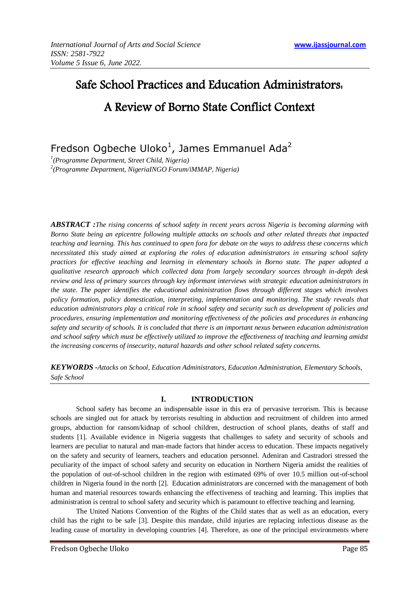# Safe School Practices and Education Administrators: A Review of Borno State Conflict Context

Fredson Ogbeche Uloko<sup>1</sup>, James Emmanuel Ada<sup>2</sup>

*1 (Programme Department, Street Child, Nigeria) 2 (Programme Department, NigeriaINGO Forum/iMMAP, Nigeria)* 

*ABSTRACT :The rising concerns of school safety in recent years across Nigeria is becoming alarming with Borno State being an epicentre following multiple attacks on schools and other related threats that impacted teaching and learning. This has continued to open fora for debate on the ways to address these concerns which necessitated this study aimed at exploring the roles of education administrators in ensuring school safety practices for effective teaching and learning in elementary schools in Borno state. The paper adopted a qualitative research approach which collected data from largely secondary sources through in-depth desk review and less of primary sources through key informant interviews with strategic education administrators in the state. The paper identifies the educational administration flows through different stages which involves policy formation, policy domestication, interpreting, implementation and monitoring. The study reveals that education administrators play a critical role in school safety and security such as development of policies and procedures, ensuring implementation and monitoring effectiveness of the policies and procedures in enhancing safety and security of schools. It is concluded that there is an important nexus between education administration and school safety which must be effectively utilized to improve the effectiveness of teaching and learning amidst the increasing concerns of insecurity, natural hazards and other school related safety concerns.* 

*KEYWORDS -Attacks on School, Education Administrators, Education Administration, Elementary Schools, Safe School* 

# **I. INTRODUCTION**

School safety has become an indispensable issue in this era of pervasive terrorism. This is because schools are singled out for attack by terrorists resulting in abduction and recruitment of children into armed groups, abduction for ransom/kidnap of school children, destruction of school plants, deaths of staff and students [1]. Available evidence in Nigeria suggests that challenges to safety and security of schools and learners are peculiar to natural and man-made factors that hinder access to education. These impacts negatively on the safety and security of learners, teachers and education personnel. Adeniran and Castradori stressed the peculiarity of the impact of school safety and security on education in Northern Nigeria amidst the realities of the population of out-of-school children in the region with estimated 69% of over 10.5 million out-of-school children in Nigeria found in the north [2]. Education administrators are concerned with the management of both human and material resources towards enhancing the effectiveness of teaching and learning. This implies that administration is central to school safety and security which is paramount to effective teaching and learning.

The United Nations Convention of the Rights of the Child states that as well as an education, every child has the right to be safe [3]. Despite this mandate, child injuries are replacing infectious disease as the leading cause of mortality in developing countries [4]. Therefore, as one of the principal environments where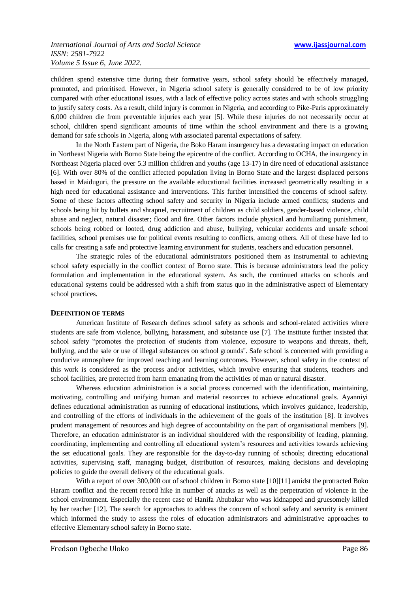children spend extensive time during their formative years, school safety should be effectively managed, promoted, and prioritised. However, in Nigeria school safety is generally considered to be of low priority compared with other educational issues, with a lack of effective policy across states and with schools struggling to justify safety costs. As a result, child injury is common in Nigeria, and according to Pike-Paris approximately 6,000 children die from preventable injuries each year [5]. While these injuries do not necessarily occur at school, children spend significant amounts of time within the school environment and there is a growing demand for safe schools in Nigeria, along with associated parental expectations of safety.

In the North Eastern part of Nigeria, the Boko Haram insurgency has a devastating impact on education in Northeast Nigeria with Borno State being the epicentre of the conflict. According to OCHA, the insurgency in Northeast Nigeria placed over 5.3 million children and youths (age 13-17) in dire need of educational assistance [6]. With over 80% of the conflict affected population living in Borno State and the largest displaced persons based in Maiduguri, the pressure on the available educational facilities increased geometrically resulting in a high need for educational assistance and interventions. This further intensified the concerns of school safety. Some of these factors affecting school safety and security in Nigeria include armed conflicts; students and schools being hit by bullets and shrapnel, recruitment of children as child soldiers, gender-based violence, child abuse and neglect, natural disaster; flood and fire. Other factors include physical and humiliating punishment, schools being robbed or looted, drug addiction and abuse, bullying, vehicular accidents and unsafe school facilities, school premises use for political events resulting to conflicts, among others. All of these have led to calls for creating a safe and protective learning environment for students, teachers and education personnel.

The strategic roles of the educational administrators positioned them as instrumental to achieving school safety especially in the conflict context of Borno state. This is because administrators lead the policy formulation and implementation in the educational system. As such, the continued attacks on schools and educational systems could be addressed with a shift from status quo in the administrative aspect of Elementary school practices.

# **DEFINITION OF TERMS**

American Institute of Research defines school safety as schools and school-related activities where students are safe from violence, bullying, harassment, and substance use [7]. The institute further insisted that school safety "promotes the protection of students from violence, exposure to weapons and threats, theft, bullying, and the sale or use of illegal substances on school grounds''. Safe school is concerned with providing a conducive atmosphere for improved teaching and learning outcomes. However, school safety in the context of this work is considered as the process and/or activities, which involve ensuring that students, teachers and school facilities, are protected from harm emanating from the activities of man or natural disaster.

Whereas education administration is a social process concerned with the identification, maintaining, motivating, controlling and unifying human and material resources to achieve educational goals. Ayanniyi defines educational administration as running of educational institutions, which involves guidance, leadership, and controlling of the efforts of individuals in the achievement of the goals of the institution [8]. It involves prudent management of resources and high degree of accountability on the part of organisational members [9]. Therefore, an education administrator is an individual shouldered with the responsibility of leading, planning, coordinating, implementing and controlling all educational system's resources and activities towards achieving the set educational goals. They are responsible for the day-to-day running of schools; directing educational activities, supervising staff, managing budget, distribution of resources, making decisions and developing policies to guide the overall delivery of the educational goals.

With a report of over 300,000 out of school children in Borno state [10][11] amidst the protracted Boko Haram conflict and the recent record hike in number of attacks as well as the perpetration of violence in the school environment. Especially the recent case of Hanifa Abubakar who was kidnapped and gruesomely killed by her teacher [12]. The search for approaches to address the concern of school safety and security is eminent which informed the study to assess the roles of education administrators and administrative approaches to effective Elementary school safety in Borno state.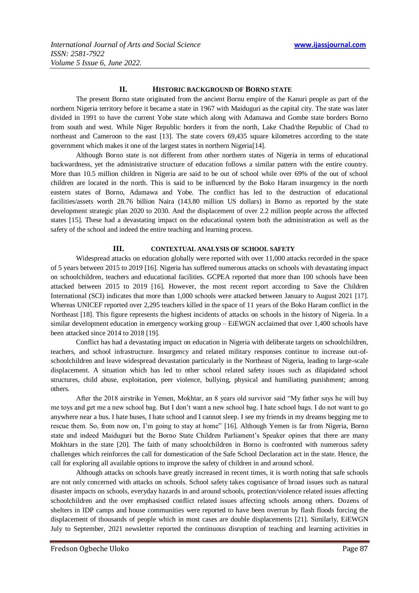# **II. HISTORIC BACKGROUND OF BORNO STATE**

The present Borno state originated from the ancient Bornu empire of the Kanuri people as part of the northern Nigeria territory before it became a state in 1967 with Maiduguri as the capital city. The state was later divided in 1991 to have the current Yobe state which along with Adamawa and Gombe state borders Borno from south and west. While Niger Republic borders it from the north, Lake Chad/the Republic of Chad to northeast and Cameroon to the east [13]. The state covers 69,435 square kilometres according to the state government which makes it one of the largest states in northern Nigeria[14].

Although Borno state is not different from other northern states of Nigeria in terms of educational backwardness, yet the administrative structure of education follows a similar pattern with the entire country. More than 10.5 million children in Nigeria are said to be out of school while over 69% of the out of school children are located in the north. This is said to be influenced by the Boko Haram insurgency in the north eastern states of Borno, Adamawa and Yobe. The conflict has led to the destruction of educational facilities/assets worth 28.76 billion Naira (143.80 million US dollars) in Borno as reported by the state development strategic plan 2020 to 2030. And the displacement of over 2.2 million people across the affected states [15]. These had a devastating impact on the educational system both the administration as well as the safety of the school and indeed the entire teaching and learning process.

## **III. CONTEXTUAL ANALYSIS OF SCHOOL SAFETY**

Widespread attacks on education globally were reported with over 11,000 attacks recorded in the space of 5 years between 2015 to 2019 [16]. Nigeria has suffered numerous attacks on schools with devastating impact on schoolchildren, teachers and educational facilities. GCPEA reported that more than 100 schools have been attacked between 2015 to 2019 [16]. However, the most recent report according to Save the Children International (SCI) indicates that more than 1,000 schools were attacked between January to August 2021 [17]. Whereas UNICEF reported over 2,295 teachers killed in the space of 11 years of the Boko Haram conflict in the Northeast [18]. This figure represents the highest incidents of attacks on schools in the history of Nigeria. In a similar development education in emergency working group – EiEWGN acclaimed that over 1,400 schools have been attacked since 2014 to 2018 [19].

Conflict has had a devastating impact on education in Nigeria with deliberate targets on schoolchildren, teachers, and school infrastructure. Insurgency and related military responses continue to increase out-ofschoolchildren and leave widespread devastation particularly in the Northeast of Nigeria, leading to large-scale displacement. A situation which has led to other school related safety issues such as dilapidated school structures, child abuse, exploitation, peer violence, bullying, physical and humiliating punishment; among others.

After the 2018 airstrike in Yemen, Mokhtar, an 8 years old survivor said "My father says he will buy me toys and get me a new school bag. But I don't want a new school bag. I hate school bags. I do not want to go anywhere near a bus. I hate buses, I hate school and I cannot sleep. I see my friends in my dreams begging me to rescue them. So, from now on, I'm going to stay at home" [16]. Although Yemen is far from Nigeria, Borno state and indeed Maiduguri but the Borno State Children Parliament's Speaker opines that there are many Mokhtars in the state [20]. The faith of many schoolchildren in Borno is confronted with numerous safety challenges which reinforces the call for domestication of the Safe School Declaration act in the state. Hence, the call for exploring all available options to improve the safety of children in and around school.

Although attacks on schools have greatly increased in recent times, it is worth noting that safe schools are not only concerned with attacks on schools. School safety takes cognisance of broad issues such as natural disaster impacts on schools, everyday hazards in and around schools, protection/violence related issues affecting schoolchildren and the over emphasised conflict related issues affecting schools among others. Dozens of shelters in IDP camps and house communities were reported to have been overrun by flash floods forcing the displacement of thousands of people which in most cases are double displacements [21]. Similarly, EiEWGN July to September, 2021 newsletter reported the continuous disruption of teaching and learning activities in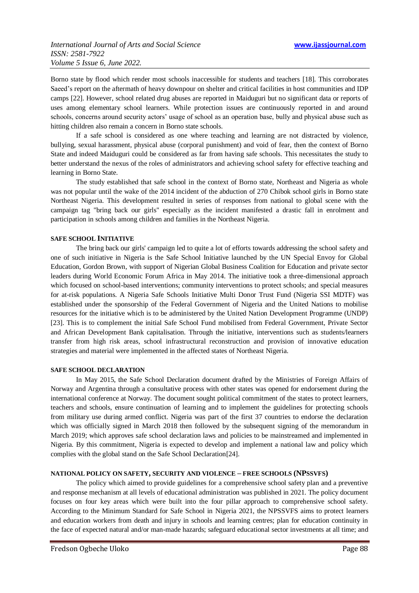Borno state by flood which render most schools inaccessible for students and teachers [18]. This corroborates Saeed's report on the aftermath of heavy downpour on shelter and critical facilities in host communities and IDP camps [22]. However, school related drug abuses are reported in Maiduguri but no significant data or reports of uses among elementary school learners. While protection issues are continuously reported in and around schools, concerns around security actors' usage of school as an operation base, bully and physical abuse such as hitting children also remain a concern in Borno state schools.

If a safe school is considered as one where teaching and learning are not distracted by violence, bullying, sexual harassment, physical abuse (corporal punishment) and void of fear, then the context of Borno State and indeed Maiduguri could be considered as far from having safe schools. This necessitates the study to better understand the nexus of the roles of administrators and achieving school safety for effective teaching and learning in Borno State.

The study established that safe school in the context of Borno state, Northeast and Nigeria as whole was not popular until the wake of the 2014 incident of the abduction of 270 Chibok school girls in Borno state Northeast Nigeria. This development resulted in series of responses from national to global scene with the campaign tag "bring back our girls" especially as the incident manifested a drastic fall in enrolment and participation in schools among children and families in the Northeast Nigeria.

# **SAFE SCHOOL INITIATIVE**

The bring back our girls' campaign led to quite a lot of efforts towards addressing the school safety and one of such initiative in Nigeria is the Safe School Initiative launched by the UN Special Envoy for Global Education, Gordon Brown, with support of Nigerian Global Business Coalition for Education and private sector leaders during World Economic Forum Africa in May 2014. The initiative took a three-dimensional approach which focused on school-based interventions; community interventions to protect schools; and special measures for at-risk populations. A Nigeria Safe Schools Initiative Multi Donor Trust Fund (Nigeria SSI MDTF) was established under the sponsorship of the Federal Government of Nigeria and the United Nations to mobilise resources for the initiative which is to be administered by the United Nation Development Programme (UNDP) [23]. This is to complement the initial Safe School Fund mobilised from Federal Government, Private Sector and African Development Bank capitalisation. Through the initiative, interventions such as students/learners transfer from high risk areas, school infrastructural reconstruction and provision of innovative education strategies and material were implemented in the affected states of Northeast Nigeria.

# **SAFE SCHOOL DECLARATION**

In May 2015, the Safe School Declaration document drafted by the Ministries of Foreign Affairs of Norway and Argentina through a consultative process with other states was opened for endorsement during the international conference at Norway. The document sought political commitment of the states to protect learners, teachers and schools, ensure continuation of learning and to implement the guidelines for protecting schools from military use during armed conflict. Nigeria was part of the first 37 countries to endorse the declaration which was officially signed in March 2018 then followed by the subsequent signing of the memorandum in March 2019; which approves safe school declaration laws and policies to be mainstreamed and implemented in Nigeria. By this commitment, Nigeria is expected to develop and implement a national law and policy which complies with the global stand on the Safe School Declaration[24].

# **NATIONAL POLICY ON SAFETY, SECURITY AND VIOLENCE – FREE SCHOOLS (NPSSVFS)**

The policy which aimed to provide guidelines for a comprehensive school safety plan and a preventive and response mechanism at all levels of educational administration was published in 2021. The policy document focuses on four key areas which were built into the four pillar approach to comprehensive school safety. According to the Minimum Standard for Safe School in Nigeria 2021, the NPSSVFS aims to protect learners and education workers from death and injury in schools and learning centres; plan for education continuity in the face of expected natural and/or man-made hazards; safeguard educational sector investments at all time; and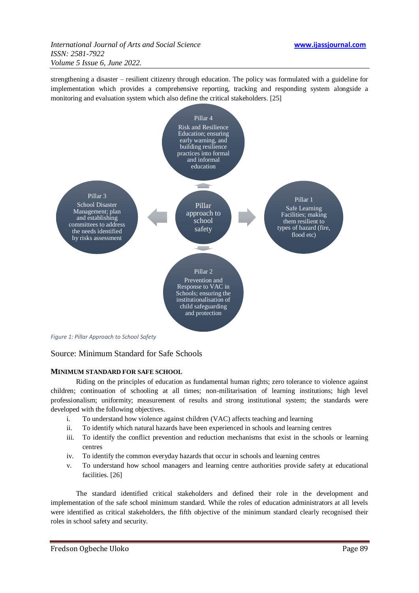strengthening a disaster – resilient citizenry through education. The policy was formulated with a guideline for implementation which provides a comprehensive reporting, tracking and responding system alongside a monitoring and evaluation system which also define the critical stakeholders. [25]



*Figure 1: Pillar Approach to School Safety*

# Source: Minimum Standard for Safe Schools

# **MINIMUM STANDARD FOR SAFE SCHOOL**

Riding on the principles of education as fundamental human rights; zero tolerance to violence against children; continuation of schooling at all times; non-militarisation of learning institutions; high level professionalism; uniformity; measurement of results and strong institutional system; the standards were developed with the following objectives.

- i. To understand how violence against children (VAC) affects teaching and learning
- ii. To identify which natural hazards have been experienced in schools and learning centres
- iii. To identify the conflict prevention and reduction mechanisms that exist in the schools or learning centres
- iv. To identify the common everyday hazards that occur in schools and learning centres
- v. To understand how school managers and learning centre authorities provide safety at educational facilities. [26]

The standard identified critical stakeholders and defined their role in the development and implementation of the safe school minimum standard. While the roles of education administrators at all levels were identified as critical stakeholders, the fifth objective of the minimum standard clearly recognised their roles in school safety and security.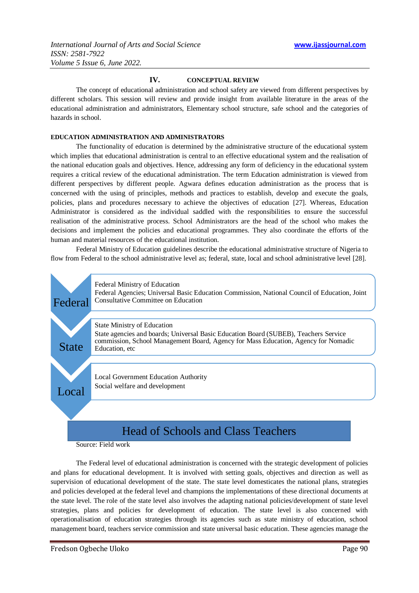# **IV. CONCEPTUAL REVIEW**

The concept of educational administration and school safety are viewed from different perspectives by different scholars. This session will review and provide insight from available literature in the areas of the educational administration and administrators, Elementary school structure, safe school and the categories of hazards in school.

# **EDUCATION ADMINISTRATION AND ADMINISTRATORS**

The functionality of education is determined by the administrative structure of the educational system which implies that educational administration is central to an effective educational system and the realisation of the national education goals and objectives. Hence, addressing any form of deficiency in the educational system requires a critical review of the educational administration. The term Education administration is viewed from different perspectives by different people. Agwara defines education administration as the process that is concerned with the using of principles, methods and practices to establish, develop and execute the goals, policies, plans and procedures necessary to achieve the objectives of education [27]. Whereas, Education Administrator is considered as the individual saddled with the responsibilities to ensure the successful realisation of the administrative process. School Administrators are the head of the school who makes the decisions and implement the policies and educational programmes. They also coordinate the efforts of the human and material resources of the educational institution.

Federal Ministry of Education guidelines describe the educational administrative structure of Nigeria to flow from Federal to the school administrative level as; federal, state, local and school administrative level [28].



Source: Field work

The Federal level of educational administration is concerned with the strategic development of policies and plans for educational development. It is involved with setting goals, objectives and direction as well as supervision of educational development of the state. The state level domesticates the national plans, strategies and policies developed at the federal level and champions the implementations of these directional documents at the state level. The role of the state level also involves the adapting national policies/development of state level strategies, plans and policies for development of education. The state level is also concerned with operationalisation of education strategies through its agencies such as state ministry of education, school management board, teachers service commission and state universal basic education. These agencies manage the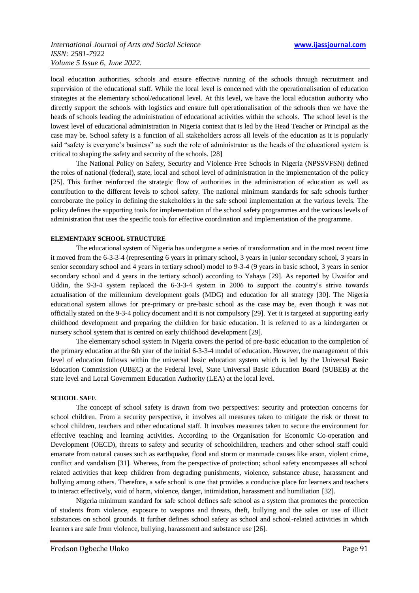local education authorities, schools and ensure effective running of the schools through recruitment and supervision of the educational staff. While the local level is concerned with the operationalisation of education strategies at the elementary school/educational level. At this level, we have the local education authority who directly support the schools with logistics and ensure full operationalisation of the schools then we have the heads of schools leading the administration of educational activities within the schools. The school level is the lowest level of educational administration in Nigeria context that is led by the Head Teacher or Principal as the case may be. School safety is a function of all stakeholders across all levels of the education as it is popularly said "safety is everyone's business" as such the role of administrator as the heads of the educational system is critical to shaping the safety and security of the schools. [28]

The National Policy on Safety, Security and Violence Free Schools in Nigeria (NPSSVFSN) defined the roles of national (federal), state, local and school level of administration in the implementation of the policy [25]. This further reinforced the strategic flow of authorities in the administration of education as well as contribution to the different levels to school safety. The national minimum standards for safe schools further corroborate the policy in defining the stakeholders in the safe school implementation at the various levels. The policy defines the supporting tools for implementation of the school safety programmes and the various levels of administration that uses the specific tools for effective coordination and implementation of the programme.

# **ELEMENTARY SCHOOL STRUCTURE**

The educational system of Nigeria has undergone a series of transformation and in the most recent time it moved from the 6-3-3-4 (representing 6 years in primary school, 3 years in junior secondary school, 3 years in senior secondary school and 4 years in tertiary school) model to 9-3-4 (9 years in basic school, 3 years in senior secondary school and 4 years in the tertiary school) according to Yahaya [29]. As reported by Uwaifor and Uddin, the 9-3-4 system replaced the 6-3-3-4 system in 2006 to support the country's strive towards actualisation of the millennium development goals (MDG) and education for all strategy [30]. The Nigeria educational system allows for pre-primary or pre-basic school as the case may be, even though it was not officially stated on the 9-3-4 policy document and it is not compulsory [29]. Yet it is targeted at supporting early childhood development and preparing the children for basic education. It is referred to as a kindergarten or nursery school system that is centred on early childhood development [29].

The elementary school system in Nigeria covers the period of pre-basic education to the completion of the primary education at the 6th year of the initial 6-3-3-4 model of education. However, the management of this level of education follows within the universal basic education system which is led by the Universal Basic Education Commission (UBEC) at the Federal level, State Universal Basic Education Board (SUBEB) at the state level and Local Government Education Authority (LEA) at the local level.

## **SCHOOL SAFE**

The concept of school safety is drawn from two perspectives: security and protection concerns for school children. From a security perspective, it involves all measures taken to mitigate the risk or threat to school children, teachers and other educational staff. It involves measures taken to secure the environment for effective teaching and learning activities. According to the Organisation for Economic Co-operation and Development (OECD), threats to safety and security of schoolchildren, teachers and other school staff could emanate from natural causes such as earthquake, flood and storm or manmade causes like arson, violent crime, conflict and vandalism [31]. Whereas, from the perspective of protection; school safety encompasses all school related activities that keep children from degrading punishments, violence, substance abuse, harassment and bullying among others. Therefore, a safe school is one that provides a conducive place for learners and teachers to interact effectively, void of harm, violence, danger, intimidation, harassment and humiliation [32].

Nigeria minimum standard for safe school defines safe school as a system that promotes the protection of students from violence, exposure to weapons and threats, theft, bullying and the sales or use of illicit substances on school grounds. It further defines school safety as school and school-related activities in which learners are safe from violence, bullying, harassment and substance use [26].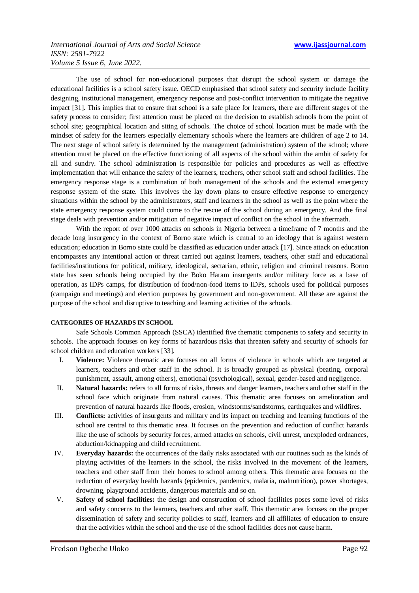The use of school for non-educational purposes that disrupt the school system or damage the educational facilities is a school safety issue. OECD emphasised that school safety and security include facility designing, institutional management, emergency response and post-conflict intervention to mitigate the negative impact [31]. This implies that to ensure that school is a safe place for learners, there are different stages of the safety process to consider; first attention must be placed on the decision to establish schools from the point of school site; geographical location and siting of schools. The choice of school location must be made with the mindset of safety for the learners especially elementary schools where the learners are children of age 2 to 14. The next stage of school safety is determined by the management (administration) system of the school; where attention must be placed on the effective functioning of all aspects of the school within the ambit of safety for all and sundry. The school administration is responsible for policies and procedures as well as effective implementation that will enhance the safety of the learners, teachers, other school staff and school facilities. The emergency response stage is a combination of both management of the schools and the external emergency response system of the state. This involves the lay down plans to ensure effective response to emergency situations within the school by the administrators, staff and learners in the school as well as the point where the state emergency response system could come to the rescue of the school during an emergency. And the final stage deals with prevention and/or mitigation of negative impact of conflict on the school in the aftermath.

With the report of over 1000 attacks on schools in Nigeria between a timeframe of 7 months and the decade long insurgency in the context of Borno state which is central to an ideology that is against western education; education in Borno state could be classified as education under attack [17]. Since attack on education encompasses any intentional action or threat carried out against learners, teachers, other staff and educational facilities/institutions for political, military, ideological, sectarian, ethnic, religion and criminal reasons. Borno state has seen schools being occupied by the Boko Haram insurgents and/or military force as a base of operation, as IDPs camps, for distribution of food/non-food items to IDPs, schools used for political purposes (campaign and meetings) and election purposes by government and non-government. All these are against the purpose of the school and disruptive to teaching and learning activities of the schools.

# **CATEGORIES OF HAZARDS IN SCHOOL**

Safe Schools Common Approach (SSCA) identified five thematic components to safety and security in schools. The approach focuses on key forms of hazardous risks that threaten safety and security of schools for school children and education workers [33].

- I. **Violence:** Violence thematic area focuses on all forms of violence in schools which are targeted at learners, teachers and other staff in the school. It is broadly grouped as physical (beating, corporal punishment, assault, among others), emotional (psychological), sexual, gender-based and negligence.
- II. **Natural hazards:** refers to all forms of risks, threats and danger learners, teachers and other staff in the school face which originate from natural causes. This thematic area focuses on amelioration and prevention of natural hazards like floods, erosion, windstorms/sandstorms, earthquakes and wildfires.
- III. **Conflicts:** activities of insurgents and military and its impact on teaching and learning functions of the school are central to this thematic area. It focuses on the prevention and reduction of conflict hazards like the use of schools by security forces, armed attacks on schools, civil unrest, unexploded ordnances, abduction/kidnapping and child recruitment.
- IV. **Everyday hazards:** the occurrences of the daily risks associated with our routines such as the kinds of playing activities of the learners in the school, the risks involved in the movement of the learners, teachers and other staff from their homes to school among others. This thematic area focuses on the reduction of everyday health hazards (epidemics, pandemics, malaria, malnutrition), power shortages, drowning, playground accidents, dangerous materials and so on.
- V. **Safety of school facilities:** the design and construction of school facilities poses some level of risks and safety concerns to the learners, teachers and other staff. This thematic area focuses on the proper dissemination of safety and security policies to staff, learners and all affiliates of education to ensure that the activities within the school and the use of the school facilities does not cause harm.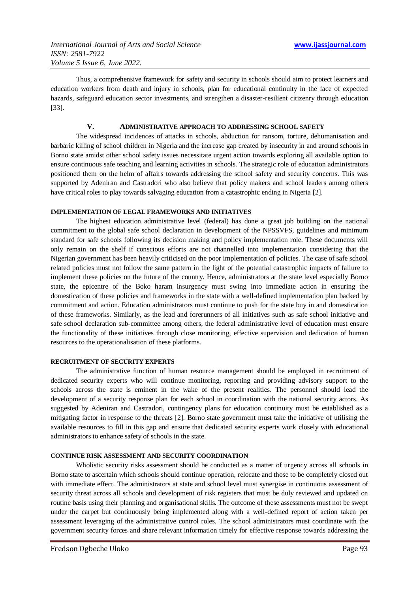Thus, a comprehensive framework for safety and security in schools should aim to protect learners and education workers from death and injury in schools, plan for educational continuity in the face of expected hazards, safeguard education sector investments, and strengthen a disaster-resilient citizenry through education [33].

# **V. ADMINISTRATIVE APPROACH TO ADDRESSING SCHOOL SAFETY**

The widespread incidences of attacks in schools, abduction for ransom, torture, dehumanisation and barbaric killing of school children in Nigeria and the increase gap created by insecurity in and around schools in Borno state amidst other school safety issues necessitate urgent action towards exploring all available option to ensure continuous safe teaching and learning activities in schools. The strategic role of education administrators positioned them on the helm of affairs towards addressing the school safety and security concerns. This was supported by Adeniran and Castradori who also believe that policy makers and school leaders among others have critical roles to play towards salvaging education from a catastrophic ending in Nigeria [2].

# **IMPLEMENTATION OF LEGAL FRAMEWORKS AND INITIATIVES**

The highest education administrative level (federal) has done a great job building on the national commitment to the global safe school declaration in development of the NPSSVFS, guidelines and minimum standard for safe schools following its decision making and policy implementation role. These documents will only remain on the shelf if conscious efforts are not channelled into implementation considering that the Nigerian government has been heavily criticised on the poor implementation of policies. The case of safe school related policies must not follow the same pattern in the light of the potential catastrophic impacts of failure to implement these policies on the future of the country. Hence, administrators at the state level especially Borno state, the epicentre of the Boko haram insurgency must swing into immediate action in ensuring the domestication of these policies and frameworks in the state with a well-defined implementation plan backed by commitment and action. Education administrators must continue to push for the state buy in and domestication of these frameworks. Similarly, as the lead and forerunners of all initiatives such as safe school initiative and safe school declaration sub-committee among others, the federal administrative level of education must ensure the functionality of these initiatives through close monitoring, effective supervision and dedication of human resources to the operationalisation of these platforms.

#### **RECRUITMENT OF SECURITY EXPERTS**

The administrative function of human resource management should be employed in recruitment of dedicated security experts who will continue monitoring, reporting and providing advisory support to the schools across the state is eminent in the wake of the present realities. The personnel should lead the development of a security response plan for each school in coordination with the national security actors. As suggested by Adeniran and Castradori, contingency plans for education continuity must be established as a mitigating factor in response to the threats [2]. Borno state government must take the initiative of utilising the available resources to fill in this gap and ensure that dedicated security experts work closely with educational administrators to enhance safety of schools in the state.

## **CONTINUE RISK ASSESSMENT AND SECURITY COORDINATION**

Wholistic security risks assessment should be conducted as a matter of urgency across all schools in Borno state to ascertain which schools should continue operation, relocate and those to be completely closed out with immediate effect. The administrators at state and school level must synergise in continuous assessment of security threat across all schools and development of risk registers that must be duly reviewed and updated on routine basis using their planning and organisational skills. The outcome of these assessments must not be swept under the carpet but continuously being implemented along with a well-defined report of action taken per assessment leveraging of the administrative control roles. The school administrators must coordinate with the government security forces and share relevant information timely for effective response towards addressing the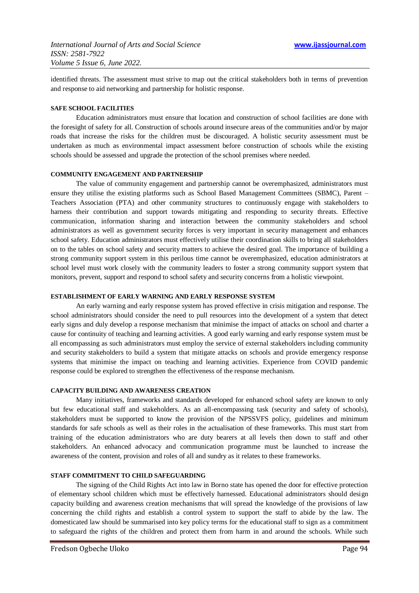identified threats. The assessment must strive to map out the critical stakeholders both in terms of prevention and response to aid networking and partnership for holistic response.

# **SAFE SCHOOL FACILITIES**

Education administrators must ensure that location and construction of school facilities are done with the foresight of safety for all. Construction of schools around insecure areas of the communities and/or by major roads that increase the risks for the children must be discouraged. A holistic security assessment must be undertaken as much as environmental impact assessment before construction of schools while the existing schools should be assessed and upgrade the protection of the school premises where needed.

## **COMMUNITY ENGAGEMENT AND PARTNERSHIP**

The value of community engagement and partnership cannot be overemphasized, administrators must ensure they utilise the existing platforms such as School Based Management Committees (SBMC), Parent – Teachers Association (PTA) and other community structures to continuously engage with stakeholders to harness their contribution and support towards mitigating and responding to security threats. Effective communication, information sharing and interaction between the community stakeholders and school administrators as well as government security forces is very important in security management and enhances school safety. Education administrators must effectively utilise their coordination skills to bring all stakeholders on to the tables on school safety and security matters to achieve the desired goal. The importance of building a strong community support system in this perilous time cannot be overemphasized, education administrators at school level must work closely with the community leaders to foster a strong community support system that monitors, prevent, support and respond to school safety and security concerns from a holistic viewpoint.

## **ESTABLISHMENT OF EARLY WARNING AND EARLY RESPONSE SYSTEM**

An early warning and early response system has proved effective in crisis mitigation and response. The school administrators should consider the need to pull resources into the development of a system that detect early signs and duly develop a response mechanism that minimise the impact of attacks on school and charter a cause for continuity of teaching and learning activities. A good early warning and early response system must be all encompassing as such administrators must employ the service of external stakeholders including community and security stakeholders to build a system that mitigate attacks on schools and provide emergency response systems that minimise the impact on teaching and learning activities. Experience from COVID pandemic response could be explored to strengthen the effectiveness of the response mechanism.

#### **CAPACITY BUILDING AND AWARENESS CREATION**

Many initiatives, frameworks and standards developed for enhanced school safety are known to only but few educational staff and stakeholders. As an all-encompassing task (security and safety of schools), stakeholders must be supported to know the provision of the NPSSVFS policy, guidelines and minimum standards for safe schools as well as their roles in the actualisation of these frameworks. This must start from training of the education administrators who are duty bearers at all levels then down to staff and other stakeholders. An enhanced advocacy and communication programme must be launched to increase the awareness of the content, provision and roles of all and sundry as it relates to these frameworks.

## **STAFF COMMITMENT TO CHILD SAFEGUARDING**

The signing of the Child Rights Act into law in Borno state has opened the door for effective protection of elementary school children which must be effectively harnessed. Educational administrators should design capacity building and awareness creation mechanisms that will spread the knowledge of the provisions of law concerning the child rights and establish a control system to support the staff to abide by the law. The domesticated law should be summarised into key policy terms for the educational staff to sign as a commitment to safeguard the rights of the children and protect them from harm in and around the schools. While such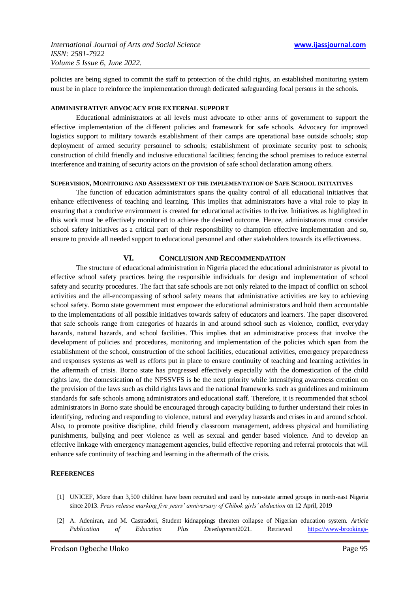policies are being signed to commit the staff to protection of the child rights, an established monitoring system must be in place to reinforce the implementation through dedicated safeguarding focal persons in the schools.

### **ADMINISTRATIVE ADVOCACY FOR EXTERNAL SUPPORT**

Educational administrators at all levels must advocate to other arms of government to support the effective implementation of the different policies and framework for safe schools. Advocacy for improved logistics support to military towards establishment of their camps are operational base outside schools; stop deployment of armed security personnel to schools; establishment of proximate security post to schools; construction of child friendly and inclusive educational facilities; fencing the school premises to reduce external interference and training of security actors on the provision of safe school declaration among others.

## **SUPERVISION, MONITORING AND ASSESSMENT OF THE IMPLEMENTATION OF SAFE SCHOOL INITIATIVES**

The function of education administrators spans the quality control of all educational initiatives that enhance effectiveness of teaching and learning. This implies that administrators have a vital role to play in ensuring that a conducive environment is created for educational activities to thrive. Initiatives as highlighted in this work must be effectively monitored to achieve the desired outcome. Hence, administrators must consider school safety initiatives as a critical part of their responsibility to champion effective implementation and so, ensure to provide all needed support to educational personnel and other stakeholders towards its effectiveness.

# **VI. CONCLUSION AND RECOMMENDATION**

The structure of educational administration in Nigeria placed the educational administrator as pivotal to effective school safety practices being the responsible individuals for design and implementation of school safety and security procedures. The fact that safe schools are not only related to the impact of conflict on school activities and the all-encompassing of school safety means that administrative activities are key to achieving school safety. Borno state government must empower the educational administrators and hold them accountable to the implementations of all possible initiatives towards safety of educators and learners. The paper discovered that safe schools range from categories of hazards in and around school such as violence, conflict, everyday hazards, natural hazards, and school facilities. This implies that an administrative process that involve the development of policies and procedures, monitoring and implementation of the policies which span from the establishment of the school, construction of the school facilities, educational activities, emergency preparedness and responses systems as well as efforts put in place to ensure continuity of teaching and learning activities in the aftermath of crisis. Borno state has progressed effectively especially with the domestication of the child rights law, the domestication of the NPSSVFS is be the next priority while intensifying awareness creation on the provision of the laws such as child rights laws and the national frameworks such as guidelines and minimum standards for safe schools among administrators and educational staff. Therefore, it is recommended that school administrators in Borno state should be encouraged through capacity building to further understand their roles in identifying, reducing and responding to violence, natural and everyday hazards and crises in and around school. Also, to promote positive discipline, child friendly classroom management, address physical and humiliating punishments, bullying and peer violence as well as sexual and gender based violence. And to develop an effective linkage with emergency management agencies, build effective reporting and referral protocols that will enhance safe continuity of teaching and learning in the aftermath of the crisis.

# **REFERENCES**

- [1] UNICEF, More than 3,500 children have been recruited and used by non-state armed groups in north-east Nigeria since 2013. *Press release marking five years' anniversary of Chibok girls' abduction* on 12 April, 2019
- [2] A. Adeniran, and M. Castradori, Student kidnappings threaten collapse of Nigerian education system. *Article Publication of Education Plus Development*2021. Retrieved [https://www-brookings-](https://www-brookings-edu.cdn.ampproject.org/c/s/www.brookings.edu/blog/education-plus-development/2021/04/19/student-kidnappings-threaten-collapse-of-nigerian-education-system/amp/)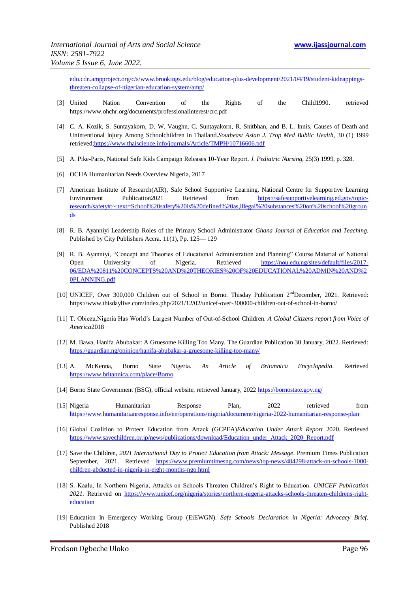edu.cdn.ampproject.org/c/s/www.brookings.edu/blog/education-plus-development/2021/04/19/student-kidnappingsthreaten-collapse-of-nigerian-education-system/amp/

- [3] United Nation Convention of the Rights of the Child1990. retrieved https://www.ohchr.org/documents/professionalinterest/crc.pdf
- [4] C. A. Kozik, S. Suntayakorn, D. W. Vaughn, C. Suntayakorn, R. Snitbhan, and B. L. Innis, Causes of Death and Unintentional Injury Among Schoolchildren in Thailand.*Southeast Asian J. Trop Med Bublic Health*, 30 (1) 1999 retrieve[d;https://www.thaiscience.info/journals/Article/TMPH/10716606.pdf](https://www.thaiscience.info/journals/Article/TMPH/10716606.pdf)
- [5] A. Pike-Paris, National Safe Kids Campaign Releases 10-Year Report. *J. Pediatric Nursing*, 25(3) 1999, p. 328.
- [6] OCHA Humanitarian Needs Overview Nigeria, 2017
- [7] American Institute of Research(AIR), Safe School Supportive Learning. National Centre for Supportive Learning Environment Publication2021 Retrieved from [https://safesupportivelearning.ed.gov/topic](https://safesupportivelearning.ed.gov/topic-research/safety#:~:text=School%20safety%20is%20defined%20as,illegal%20substances%20on%20school%20grounds)[research/safety#:~:text=School%20safety%20is%20defined%20as,illegal%20substances%20on%20school%20groun](https://safesupportivelearning.ed.gov/topic-research/safety#:~:text=School%20safety%20is%20defined%20as,illegal%20substances%20on%20school%20grounds) [ds](https://safesupportivelearning.ed.gov/topic-research/safety#:~:text=School%20safety%20is%20defined%20as,illegal%20substances%20on%20school%20grounds)
- [8] R. B. Ayanniyi Leadership Roles of the Primary School Administrator *Ghana Journal of Education and Teaching*. Published by City Publishers Accra. 11(1), Pp. 125— 129
- [9] R. B. Ayanniyi, "Concept and Theories of Educational Administration and Planning" Course Material of National Open University of Nigeria. Retrieved [https://nou.edu.ng/sites/default/files/2017-](https://nou.edu.ng/sites/default/files/2017-06/EDA%20811%20CONCEPTS%20AND%20THEORIES%20OF%20EDUCATIONAL%20ADMIN%20AND%20PLANNING.pdf) [06/EDA%20811%20CONCEPTS%20AND%20THEORIES%20OF%20EDUCATIONAL%20ADMIN%20AND%2](https://nou.edu.ng/sites/default/files/2017-06/EDA%20811%20CONCEPTS%20AND%20THEORIES%20OF%20EDUCATIONAL%20ADMIN%20AND%20PLANNING.pdf) [0PLANNING.pdf](https://nou.edu.ng/sites/default/files/2017-06/EDA%20811%20CONCEPTS%20AND%20THEORIES%20OF%20EDUCATIONAL%20ADMIN%20AND%20PLANNING.pdf)
- [10] UNICEF, Over 300,000 Children out of School in Borno. Thisday Publication 2<sup>nd</sup>December, 2021. Retrieved: https://www.thisdaylive.com/index.php/2021/12/02/unicef-over-300000-children-out-of-school-in-borno/
- [11] T. Obiezu,Nigeria Has World's Largest Number of Out-of-School Children. *A Global Citizens report from Voice of America*2018
- [12] M. Bawa, Hanifa Abubakar: A Gruesome Killing Too Many. The Guardian Publication 30 January, 2022. Retrieved: <https://guardian.ng/opinion/hanifa-abubakar-a-gruesome-killing-too-many/>
- [13] A. McKenna, Borno State Nigeria. *An Article of Britannica Encyclopedia*. Retrieved <https://www.britannica.com/place/Borno>
- [14] Borno State Government (BSG), official website, retrieved January, 202[2 https://bornostate.gov.ng/](https://bornostate.gov.ng/)
- [15] Nigeria Humanitarian Response Plan, 2022 retrieved from <https://www.humanitarianresponse.info/en/operations/nigeria/document/nigeria-2022-humanitarian-response-plan>
- [16] Global Coalition to Protect Education from Attack (GCPEA)*Education Under Attack Report* 2020. Retrieved [https://www.savechildren.or.jp/news/publications/download/Education\\_under\\_Attack\\_2020\\_Report.pdf](https://www.savechildren.or.jp/news/publications/download/Education_under_Attack_2020_Report.pdf)
- [17] Save the Children, *2021 International Day to Protect Education from Attack: Message*. Premium Times Publication September, 2021. Retrieved [https://www.premiumtimesng.com/news/top-news/484298-attack-on-schools-1000](https://www.premiumtimesng.com/news/top-news/484298-attack-on-schools-1000-children-abducted-in-nigeria-in-eight-months-ngo.html) [children-abducted-in-nigeria-in-eight-months-ngo.html](https://www.premiumtimesng.com/news/top-news/484298-attack-on-schools-1000-children-abducted-in-nigeria-in-eight-months-ngo.html)
- [18] S. Kaalu, In Northern Nigeria, Attacks on Schools Threaten Children's Right to Education. *UNICEF Publication 2021*. Retrieved on [https://www.unicef.org/nigeria/stories/northern-nigeria-attacks-schools-threaten-childrens-right](https://www.unicef.org/nigeria/stories/northern-nigeria-attacks-schools-threaten-childrens-right-education)[education](https://www.unicef.org/nigeria/stories/northern-nigeria-attacks-schools-threaten-childrens-right-education)
- [19] Education In Emergency Working Group (EiEWGN). *Safe Schools Declaration in Nigeria: Advocacy Brief*. Published 2018